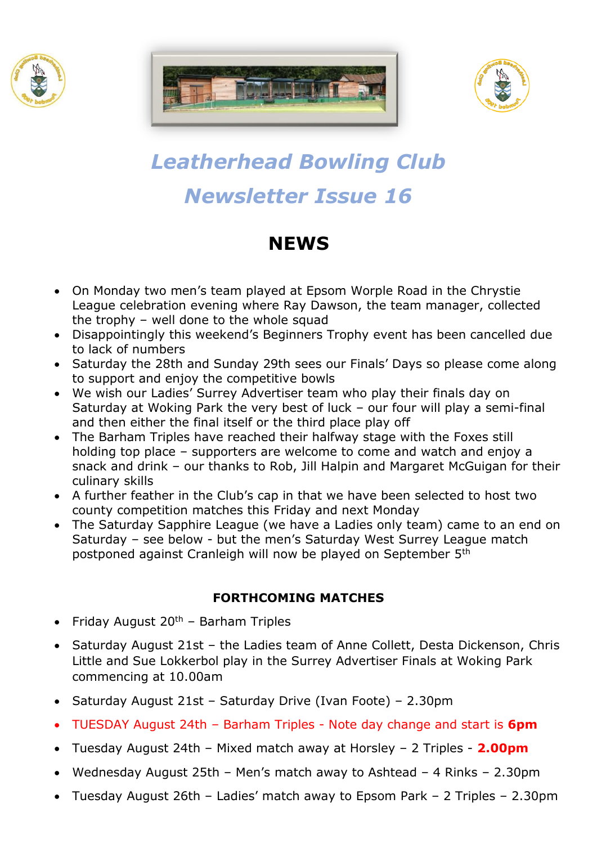





# *Leatherhead Bowling Club Newsletter Issue 16*

# **NEWS**

- On Monday two men's team played at Epsom Worple Road in the Chrystie League celebration evening where Ray Dawson, the team manager, collected the trophy – well done to the whole squad
- Disappointingly this weekend's Beginners Trophy event has been cancelled due to lack of numbers
- Saturday the 28th and Sunday 29th sees our Finals' Days so please come along to support and enjoy the competitive bowls
- We wish our Ladies' Surrey Advertiser team who play their finals day on Saturday at Woking Park the very best of luck – our four will play a semi-final and then either the final itself or the third place play off
- The Barham Triples have reached their halfway stage with the Foxes still holding top place – supporters are welcome to come and watch and enjoy a snack and drink – our thanks to Rob, Jill Halpin and Margaret McGuigan for their culinary skills
- A further feather in the Club's cap in that we have been selected to host two county competition matches this Friday and next Monday
- The Saturday Sapphire League (we have a Ladies only team) came to an end on Saturday – see below - but the men's Saturday West Surrey League match postponed against Cranleigh will now be played on September 5th

### **FORTHCOMING MATCHES**

- Friday August  $20<sup>th</sup>$  Barham Triples
- Saturday August 21st the Ladies team of Anne Collett, Desta Dickenson, Chris Little and Sue Lokkerbol play in the Surrey Advertiser Finals at Woking Park commencing at 10.00am
- Saturday August 21st Saturday Drive (Ivan Foote) 2.30pm
- TUESDAY August 24th Barham Triples Note day change and start is **6pm**
- Tuesday August 24th Mixed match away at Horsley 2 Triples **2.00pm**
- Wednesday August 25th Men's match away to Ashtead 4 Rinks 2.30pm
- Tuesday August 26th Ladies' match away to Epsom Park 2 Triples 2.30pm